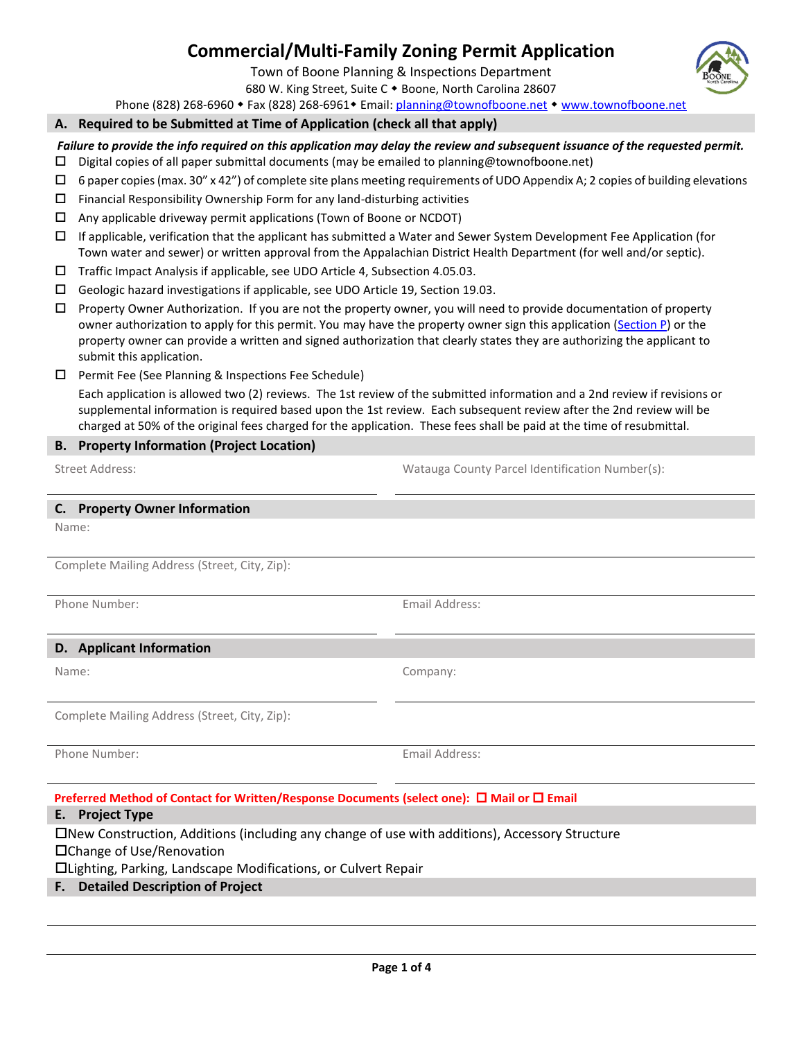# **Commercial/Multi-Family Zoning Permit Application**

Town of Boone Planning & Inspections Department

680 W. King Street, Suite C . Boone, North Carolina 28607

Phone (828) 268-6960 • Fax (828) 268-6961 • Email: [planning@townofboone.net](mailto:planning@townofboone.net) • [www.townofboone.net](http://www.townofboone.net/)

#### **A. Required to be Submitted at Time of Application (check all that apply)**

*Failure to provide the info required on this application may delay the review and subsequent issuance of the requested permit.*

- $\Box$  Digital copies of all paper submittal documents (may be emailed to planning@townofboone.net)
- $\Box$  6 paper copies (max. 30" x 42") of complete site plans meeting requirements of UDO Appendix A; 2 copies of building elevations
- $\square$  Financial Responsibility Ownership Form for any land-disturbing activities
- $\Box$  Any applicable driveway permit applications (Town of Boone or NCDOT)
- If applicable, verification that the applicant has submitted a Water and Sewer System Development Fee Application (for Town water and sewer) or written approval from the Appalachian District Health Department (for well and/or septic).
- Traffic Impact Analysis if applicable, see UDO Article 4, Subsection 4.05.03.
- Geologic hazard investigations if applicable, see UDO Article 19, Section 19.03.
- Property Owner Authorization. If you are not the property owner, you will need to provide documentation of property owner authorization to apply for this permit. You may have the property owner sign this application [\(Section P\)](#page-2-0) or the property owner can provide a written and signed authorization that clearly states they are authorizing the applicant to submit this application.
- □ Permit Fee (See Planning & Inspections Fee Schedule)

Each application is allowed two (2) reviews. The 1st review of the submitted information and a 2nd review if revisions or supplemental information is required based upon the 1st review. Each subsequent review after the 2nd review will be charged at 50% of the original fees charged for the application. These fees shall be paid at the time of resubmittal.

#### **B. Property Information (Project Location)**

Street Address: Watauga County Parcel Identification Number(s):

#### **C. Property Owner Information**

Name:

Complete Mailing Address (Street, City, Zip):

Phone Number: The Company of the Company of the Email Address:

#### **D. Applicant Information**

Name: Company:

Complete Mailing Address (Street, City, Zip):

Phone Number: The Contract of the Contract of the Email Address:

## **Preferred Method of Contact for Written/Response Documents (select one): □ Mail or □ Email**

**E. Project Type**

New Construction, Additions (including any change of use with additions), Accessory Structure

□Change of Use/Renovation

Lighting, Parking, Landscape Modifications, or Culvert Repair

## **F. Detailed Description of Project**

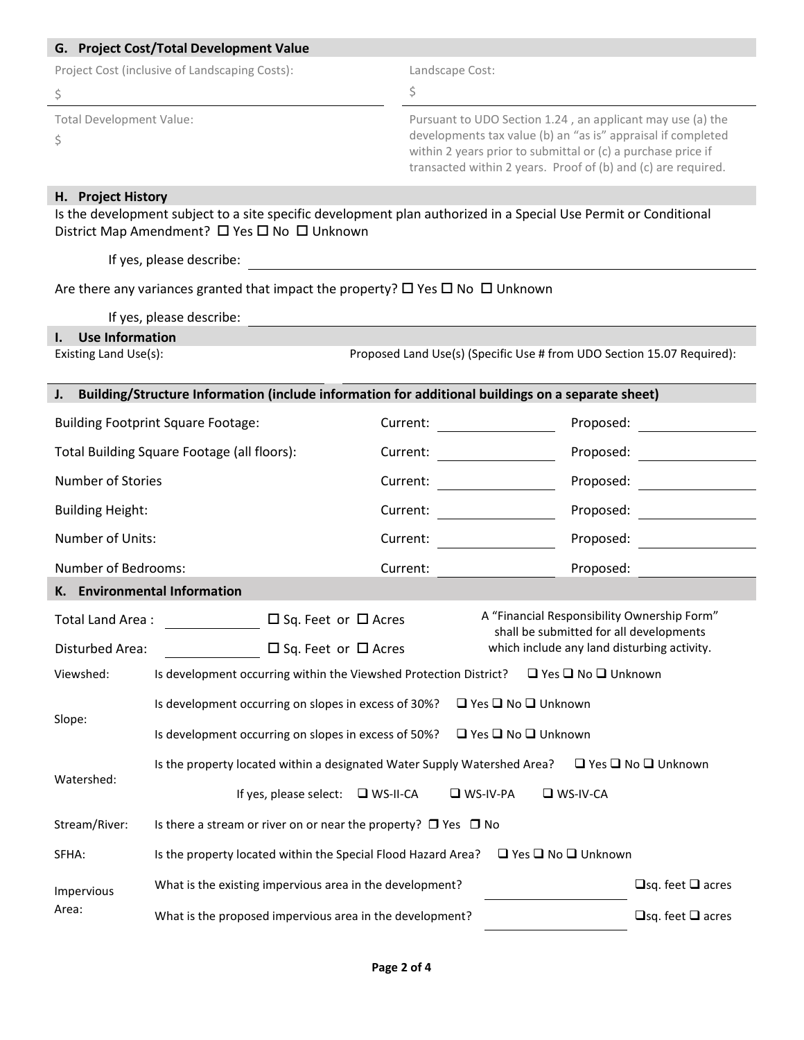| G. Project Cost/Total Development Value                                                              |                                                                                                                                                                  |                              |                                                                                                                                                                                                                                                             |                                                                                        |  |  |  |
|------------------------------------------------------------------------------------------------------|------------------------------------------------------------------------------------------------------------------------------------------------------------------|------------------------------|-------------------------------------------------------------------------------------------------------------------------------------------------------------------------------------------------------------------------------------------------------------|----------------------------------------------------------------------------------------|--|--|--|
| Project Cost (inclusive of Landscaping Costs):                                                       |                                                                                                                                                                  |                              | Landscape Cost:                                                                                                                                                                                                                                             |                                                                                        |  |  |  |
| \$                                                                                                   |                                                                                                                                                                  | \$                           |                                                                                                                                                                                                                                                             |                                                                                        |  |  |  |
| <b>Total Development Value:</b><br>\$                                                                |                                                                                                                                                                  |                              | Pursuant to UDO Section 1.24, an applicant may use (a) the<br>developments tax value (b) an "as is" appraisal if completed<br>within 2 years prior to submittal or (c) a purchase price if<br>transacted within 2 years. Proof of (b) and (c) are required. |                                                                                        |  |  |  |
| H. Project History                                                                                   | Is the development subject to a site specific development plan authorized in a Special Use Permit or Conditional<br>District Map Amendment? □ Yes □ No □ Unknown |                              |                                                                                                                                                                                                                                                             |                                                                                        |  |  |  |
|                                                                                                      | If yes, please describe:                                                                                                                                         |                              |                                                                                                                                                                                                                                                             |                                                                                        |  |  |  |
|                                                                                                      | Are there any variances granted that impact the property? $\Box$ Yes $\Box$ No $\Box$ Unknown                                                                    |                              |                                                                                                                                                                                                                                                             |                                                                                        |  |  |  |
|                                                                                                      | If yes, please describe:                                                                                                                                         |                              |                                                                                                                                                                                                                                                             |                                                                                        |  |  |  |
| <b>Use Information</b><br>I.                                                                         |                                                                                                                                                                  |                              |                                                                                                                                                                                                                                                             |                                                                                        |  |  |  |
| Existing Land Use(s):<br>Proposed Land Use(s) (Specific Use # from UDO Section 15.07 Required):      |                                                                                                                                                                  |                              |                                                                                                                                                                                                                                                             |                                                                                        |  |  |  |
| J. Building/Structure Information (include information for additional buildings on a separate sheet) |                                                                                                                                                                  |                              |                                                                                                                                                                                                                                                             |                                                                                        |  |  |  |
| <b>Building Footprint Square Footage:</b>                                                            |                                                                                                                                                                  | Current:                     |                                                                                                                                                                                                                                                             | Proposed:                                                                              |  |  |  |
| Total Building Square Footage (all floors):                                                          |                                                                                                                                                                  | Current:                     |                                                                                                                                                                                                                                                             | Proposed:                                                                              |  |  |  |
| Number of Stories                                                                                    |                                                                                                                                                                  | Current:                     |                                                                                                                                                                                                                                                             | Proposed:                                                                              |  |  |  |
| <b>Building Height:</b>                                                                              |                                                                                                                                                                  | Current:                     |                                                                                                                                                                                                                                                             | Proposed:                                                                              |  |  |  |
| Number of Units:                                                                                     |                                                                                                                                                                  | Current:                     |                                                                                                                                                                                                                                                             | Proposed:                                                                              |  |  |  |
| Number of Bedrooms:                                                                                  |                                                                                                                                                                  | Current:                     |                                                                                                                                                                                                                                                             | Proposed:                                                                              |  |  |  |
|                                                                                                      | K. Environmental Information                                                                                                                                     |                              |                                                                                                                                                                                                                                                             |                                                                                        |  |  |  |
|                                                                                                      | $\Box$ Sq. Feet or $\Box$ Acres<br>Total Land Area:                                                                                                              |                              |                                                                                                                                                                                                                                                             | A "Financial Responsibility Ownership Form"                                            |  |  |  |
| Disturbed Area:                                                                                      | $\Box$ Sq. Feet or $\Box$ Acres                                                                                                                                  |                              |                                                                                                                                                                                                                                                             | shall be submitted for all developments<br>which include any land disturbing activity. |  |  |  |
| Viewshed:                                                                                            | Is development occurring within the Viewshed Protection District?<br>$\Box$ Yes $\Box$ No $\Box$ Unknown                                                         |                              |                                                                                                                                                                                                                                                             |                                                                                        |  |  |  |
| Slope:                                                                                               | Is development occurring on slopes in excess of 30%?<br>$\Box$ Yes $\Box$ No $\Box$ Unknown                                                                      |                              |                                                                                                                                                                                                                                                             |                                                                                        |  |  |  |
|                                                                                                      | □ Yes □ No □ Unknown<br>Is development occurring on slopes in excess of 50%?                                                                                     |                              |                                                                                                                                                                                                                                                             |                                                                                        |  |  |  |
| Watershed:                                                                                           | Is the property located within a designated Water Supply Watershed Area?<br>$\Box$ Yes $\Box$ No $\Box$ Unknown                                                  |                              |                                                                                                                                                                                                                                                             |                                                                                        |  |  |  |
|                                                                                                      | If yes, please select: $\Box$ WS-II-CA<br>$\n  W$ S-IV-PA<br>$\square$ WS-IV-CA                                                                                  |                              |                                                                                                                                                                                                                                                             |                                                                                        |  |  |  |
| Stream/River:                                                                                        | Is there a stream or river on or near the property? $\Box$ Yes $\Box$ No                                                                                         |                              |                                                                                                                                                                                                                                                             |                                                                                        |  |  |  |
| SFHA:                                                                                                | Is the property located within the Special Flood Hazard Area?<br>$\Box$ Yes $\Box$ No $\Box$ Unknown                                                             |                              |                                                                                                                                                                                                                                                             |                                                                                        |  |  |  |
| Impervious                                                                                           | $\Box$ sq. feet $\Box$ acres<br>What is the existing impervious area in the development?                                                                         |                              |                                                                                                                                                                                                                                                             |                                                                                        |  |  |  |
| Area:                                                                                                | What is the proposed impervious area in the development?                                                                                                         | $\Box$ sq. feet $\Box$ acres |                                                                                                                                                                                                                                                             |                                                                                        |  |  |  |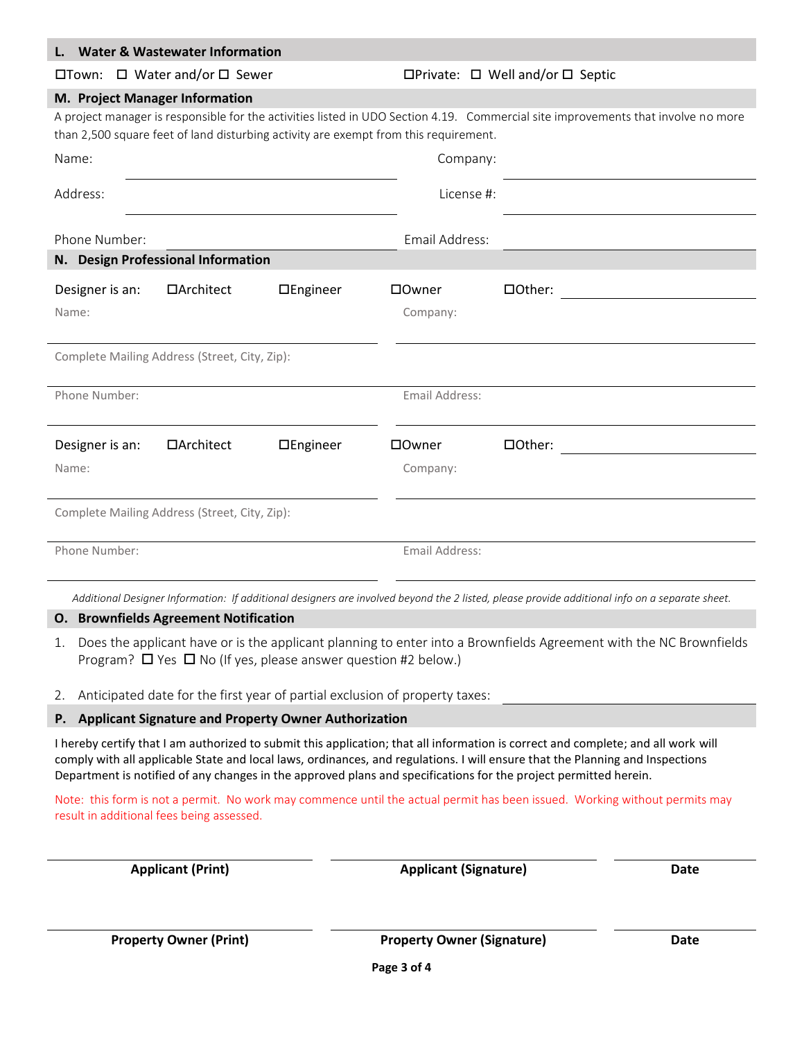|                                                                                                                                   | <b>Water &amp; Wastewater Information</b> |           |                |                                                                                                                                                |  |  |  |
|-----------------------------------------------------------------------------------------------------------------------------------|-------------------------------------------|-----------|----------------|------------------------------------------------------------------------------------------------------------------------------------------------|--|--|--|
| $\Box$ Town: $\Box$ Water and/or $\Box$ Sewer                                                                                     |                                           |           |                | $\Box$ Private: $\Box$ Well and/or $\Box$ Septic                                                                                               |  |  |  |
| M. Project Manager Information                                                                                                    |                                           |           |                |                                                                                                                                                |  |  |  |
| A project manager is responsible for the activities listed in UDO Section 4.19. Commercial site improvements that involve no more |                                           |           |                |                                                                                                                                                |  |  |  |
| than 2,500 square feet of land disturbing activity are exempt from this requirement.                                              |                                           |           |                |                                                                                                                                                |  |  |  |
| Name:                                                                                                                             |                                           |           | Company:       |                                                                                                                                                |  |  |  |
| Address:                                                                                                                          |                                           |           | License #:     |                                                                                                                                                |  |  |  |
| Phone Number:                                                                                                                     |                                           |           | Email Address: |                                                                                                                                                |  |  |  |
| N. Design Professional Information                                                                                                |                                           |           |                |                                                                                                                                                |  |  |  |
| Designer is an:                                                                                                                   | □Architect                                | □Engineer | □Owner         | □Other:                                                                                                                                        |  |  |  |
| Name:                                                                                                                             |                                           |           | Company:       |                                                                                                                                                |  |  |  |
| Complete Mailing Address (Street, City, Zip):                                                                                     |                                           |           |                |                                                                                                                                                |  |  |  |
| Phone Number:                                                                                                                     |                                           |           | Email Address: |                                                                                                                                                |  |  |  |
| Designer is an:                                                                                                                   | □Architect                                | □Engineer | □0wner         | □Other:                                                                                                                                        |  |  |  |
| Name:                                                                                                                             |                                           |           | Company:       |                                                                                                                                                |  |  |  |
| Complete Mailing Address (Street, City, Zip):                                                                                     |                                           |           |                |                                                                                                                                                |  |  |  |
| Phone Number:                                                                                                                     |                                           |           | Email Address: |                                                                                                                                                |  |  |  |
|                                                                                                                                   |                                           |           |                | Additional Designer Information: If additional designers are involved beyond the 2 listed, please provide additional info on a separate sheet. |  |  |  |

## **O. Brownfields Agreement Notification**

**L. Water & Wastewater Information** 

- 1. Does the applicant have or is the applicant planning to enter into a Brownfields Agreement with the NC Brownfields Program?  $\Box$  Yes  $\Box$  No (If yes, please answer question #2 below.)
- 2. Anticipated date for the first year of partial exclusion of property taxes:

#### <span id="page-2-0"></span>**P. Applicant Signature and Property Owner Authorization**

I hereby certify that I am authorized to submit this application; that all information is correct and complete; and all work will comply with all applicable State and local laws, ordinances, and regulations. I will ensure that the Planning and Inspections Department is notified of any changes in the approved plans and specifications for the project permitted herein.

Note: this form is not a permit. No work may commence until the actual permit has been issued. Working without permits may result in additional fees being assessed.

| <b>Applicant (Print)</b> | <b>Applicant (Signature)</b> | <b>Date</b> |
|--------------------------|------------------------------|-------------|
|                          |                              |             |
|                          |                              |             |